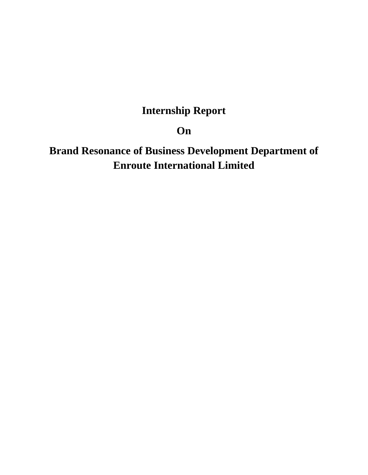# **Internship Report**

**On**

**Brand Resonance of Business Development Department of Enroute International Limited**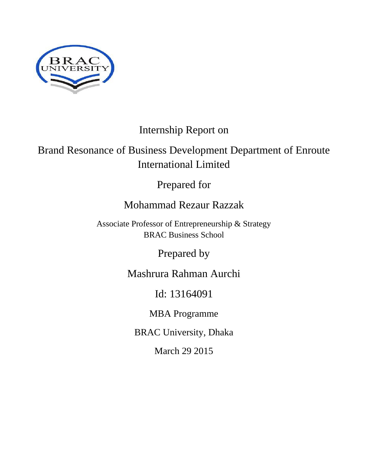

# Internship Report on

# Brand Resonance of Business Development Department of Enroute International Limited

Prepared for

# Mohammad Rezaur Razzak

Associate Professor of Entrepreneurship & Strategy BRAC Business School

Prepared by

Mashrura Rahman Aurchi

Id: 13164091

MBA Programme

BRAC University, Dhaka

March 29 2015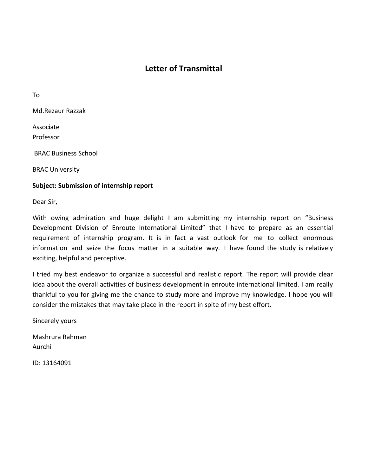## **Letter of Transmittal**

To

Md.Rezaur Razzak

Associate Professor

BRAC Business School

BRAC University

#### **Subject: Submission of internship report**

Dear Sir,

With owing admiration and huge delight I am submitting my internship report on "Business Development Division of Enroute International Limited" that I have to prepare as an essential requirement of internship program. It is in fact a vast outlook for me to collect enormous information and seize the focus matter in a suitable way. I have found the study is relatively exciting, helpful and perceptive.

I tried my best endeavor to organize a successful and realistic report. The report will provide clear idea about the overall activities of business development in enroute international limited. I am really thankful to you for giving me the chance to study more and improve my knowledge. I hope you will consider the mistakes that may take place in the report in spite of my best effort.

Sincerely yours

Mashrura Rahman Aurchi

ID: 13164091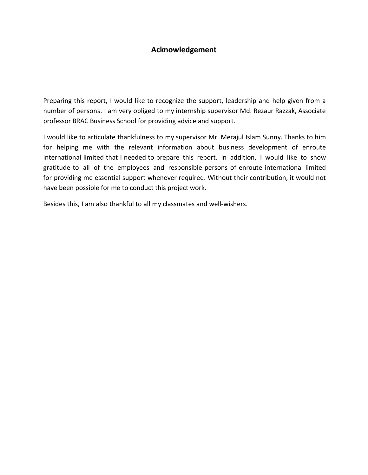## **Acknowledgement**

Preparing this report, I would like to recognize the support, leadership and help given from a number of persons. I am very obliged to my internship supervisor Md. Rezaur Razzak, Associate professor BRAC Business School for providing advice and support.

I would like to articulate thankfulness to my supervisor Mr. Merajul Islam Sunny. Thanks to him for helping me with the relevant information about business development of enroute international limited that I needed to prepare this report. In addition, I would like to show gratitude to all of the employees and responsible persons of enroute international limited for providing me essential support whenever required. Without their contribution, it would not have been possible for me to conduct this project work.

Besides this, I am also thankful to all my classmates and well-wishers.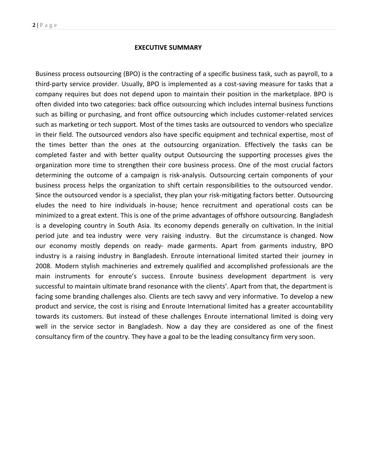#### **EXECUTIVE SUMMARY**

Business process outsourcing (BPO) is the contracting of a specific business task, such as payroll, to a third-party service provider. Usually, BPO is implemented as a cost-saving measure for tasks that a company requires but does not depend upon to maintain their position in the marketplace. BPO is often divided into two categories: back office [outsourcing](http://searchcio.techtarget.com/definition/outsourcing) which includes internal business functions such as billing or purchasing, and front office outsourcing which includes customer-related services such as marketing or tech support. Most of the times tasks are outsourced to vendors who specialize in their field. The outsourced vendors also have specific equipment and technical expertise, most of the times better than the ones at the outsourcing organization. Effectively the tasks can be completed faster and with better quality output Outsourcing the supporting processes gives the organization more time to strengthen their core business process. One of the most crucial factors determining the outcome of a campaign is risk-analysis. Outsourcing certain components of your business process helps the organization to shift certain responsibilities to the outsourced vendor. Since the outsourced vendor is a specialist, they plan your risk-mitigating factors better. Outsourcing eludes the need to hire individuals in-house; hence recruitment and operational costs can be minimized to a great extent. This is one of the prime advantages of offshore outsourcing. Bangladesh is a developing country in South Asia. Its economy depends generally on cultivation. In the initial period jute and tea industry were very raising industry. But the circumstance is changed. Now our economy mostly depends on ready- made garments. Apart from garments industry, BPO industry is a raising industry in Bangladesh. Enroute international limited started their journey in 2008. Modern stylish machineries and extremely qualified and accomplished professionals are the main instruments for enroute's success. Enroute business development department is very successful to maintain ultimate brand resonance with the clients'. Apart from that, the department is facing some branding challenges also. Clients are tech savvy and very informative. To develop a new product and service, the cost is rising and Enroute International limited has a greater accountability towards its customers. But instead of these challenges Enroute international limited is doing very well in the service sector in Bangladesh. Now a day they are considered as one of the finest consultancy firm of the country. They have a goal to be the leading consultancy firm very soon.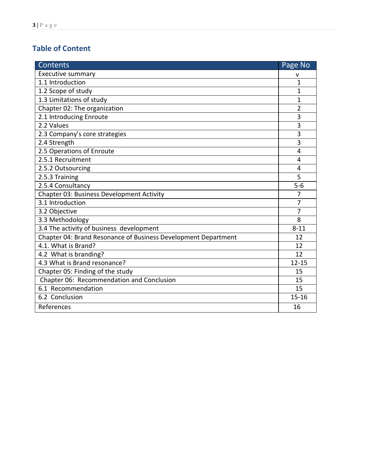# **Table of Content**

| <b>Contents</b>                                                | Page No        |
|----------------------------------------------------------------|----------------|
| Executive summary                                              | v              |
| 1.1 Introduction                                               | 1              |
| 1.2 Scope of study                                             | 1              |
| 1.3 Limitations of study                                       | $\mathbf{1}$   |
| Chapter 02: The organization                                   | 2              |
| 2.1 Introducing Enroute                                        | 3              |
| 2.2 Values                                                     | 3              |
| 2.3 Company's core strategies                                  | 3              |
| 2.4 Strength                                                   | $\overline{3}$ |
| 2.5 Operations of Enroute                                      | 4              |
| 2.5.1 Recruitment                                              | 4              |
| 2.5.2 Outsourcing                                              | 4              |
| 2.5.3 Training                                                 | 5              |
| 2.5.4 Consultancy                                              | $5-6$          |
| Chapter 03: Business Development Activity                      | $\overline{7}$ |
| 3.1 Introduction                                               | $\overline{7}$ |
| 3.2 Objective                                                  | 7              |
| 3.3 Methodology                                                | 8              |
| 3.4 The activity of business development                       | $8 - 11$       |
| Chapter 04: Brand Resonance of Business Development Department | 12             |
| 4.1. What is Brand?                                            | 12             |
| 4.2 What is branding?                                          | 12             |
| 4.3 What is Brand resonance?                                   | $12 - 15$      |
| Chapter 05: Finding of the study                               | 15             |
| Chapter 06: Recommendation and Conclusion                      | 15             |
| 6.1 Recommendation                                             | 15             |
| 6.2 Conclusion                                                 | $15 - 16$      |
| References                                                     | 16             |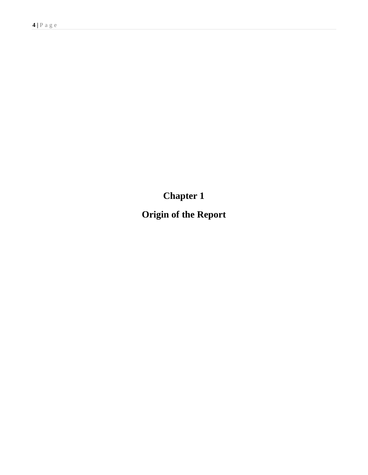**Chapter 1**

**Origin of the Report**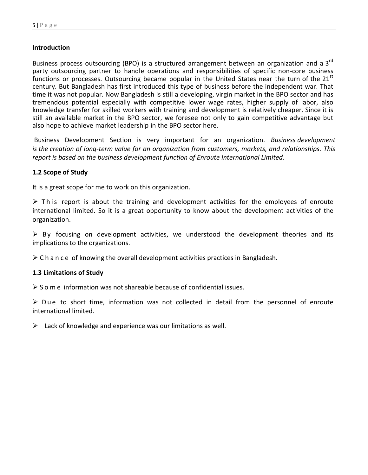#### **Introduction**

Business process outsourcing (BPO) is a structured arrangement between an organization and a 3<sup>rd</sup> party outsourcing partner to handle operations and responsibilities of specific non-core business functions or processes. Outsourcing became popular in the United States near the turn of the  $21<sup>st</sup>$ century. But Bangladesh has first introduced this type of business before the independent war. That time it was not popular. Now Bangladesh is still a developing, virgin market in the BPO sector and has tremendous potential especially with competitive lower wage rates, higher supply of labor, also knowledge transfer for skilled workers with training and development is relatively cheaper. Since it is still an available market in the BPO sector, we foresee not only to gain competitive advantage but also hope to achieve market leadership in the BPO sector here.

Business Development Section is very important for an organization*. Business development is the creation of long-term value for an organization from customers, markets, and relationships. This report is based on the business development function of Enroute International Limited.*

#### **1.2 Scope of Study**

It is a great scope for me to work on this organization.

 $\triangleright$  This report is about the training and development activities for the employees of enroute international limited. So it is a great opportunity to know about the development activities of the organization.

 $\triangleright$  By focusing on development activities, we understood the development theories and its implications to the organizations.

 $\triangleright$  C h a n c e of knowing the overall development activities practices in Bangladesh.

#### **1.3 Limitations of Study**

 $\triangleright$  S o m e information was not shareable because of confidential issues.

 $\triangleright$  Due to short time, information was not collected in detail from the personnel of enroute international limited.

 $\triangleright$  Lack of knowledge and experience was our limitations as well.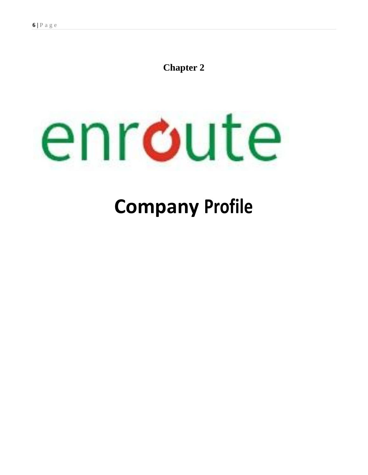# **Chapter 2**



# **Company Profile**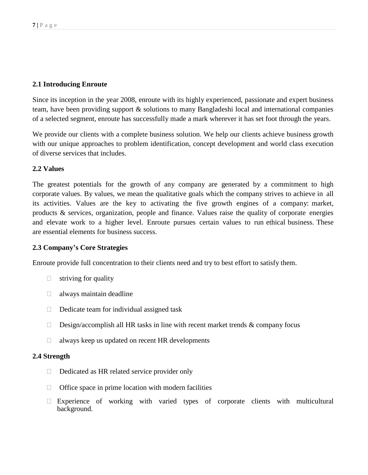#### **2.1 Introducing Enroute**

Since its inception in the year 2008, enroute with its highly experienced, passionate and expert business team, have been providing support & solutions to many Bangladeshi local and international companies of a selected segment, enroute has successfully made a mark wherever it has set foot through the years.

We provide our clients with a complete business solution. We help our clients achieve business growth with our unique approaches to problem identification, concept development and world class execution of diverse services that includes.

#### **2.2 Values**

The greatest potentials for the growth of any company are generated by a commitment to high corporate values. By values, we mean the qualitative goals which the company strives to achieve in all its activities. Values are the key to activating the five growth engines of a company: market, products & services, organization, people and finance. Values raise the quality of corporate energies and elevate work to a higher level. Enroute pursues certain values to run ethical business. These are essential elements for business success.

#### **2.3 Company's Core Strategies**

Enroute provide full concentration to their clients need and try to best effort to satisfy them.

- $\Box$  striving for quality
- $\Box$  always maintain deadline
- $\Box$  Dedicate team for individual assigned task
- $\Box$  Design/accomplish all HR tasks in line with recent market trends & company focus
- $\Box$  always keep us updated on recent HR developments

#### **2.4 Strength**

- $\Box$  Dedicated as HR related service provider only
- $\Box$  Office space in prime location with modern facilities
- $\Box$  Experience of working with varied types of corporate clients with multicultural background.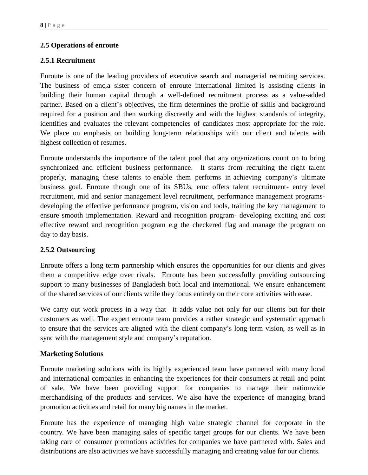### **2.5 Operations of enroute**

#### **2.5.1 Recruitment**

Enroute is one of the leading providers of executive search and managerial recruiting services. The business of emc,a sister concern of enroute international limited is assisting clients in building their human capital through a well-defined recruitment process as a value-added partner. Based on a client's objectives, the firm determines the profile of skills and background required for a position and then working discreetly and with the highest standards of integrity, identifies and evaluates the relevant competencies of candidates most appropriate for the role. We place on emphasis on building long-term relationships with our client and talents with highest collection of resumes.

Enroute understands the importance of the talent pool that any organizations count on to bring synchronized and efficient business performance. It starts from recruiting the right talent properly, managing these talents to enable them performs in achieving company's ultimate business goal. Enroute through one of its SBUs, emc offers talent recruitment- entry level recruitment, mid and senior management level recruitment, performance management programsdeveloping the effective performance program, vision and tools, training the key management to ensure smooth implementation. Reward and recognition program- developing exciting and cost effective reward and recognition program e.g the checkered flag and manage the program on day to day basis.

#### **2.5.2 Outsourcing**

Enroute offers a long term partnership which ensures the opportunities for our clients and gives them a competitive edge over rivals. Enroute has been successfully providing outsourcing support to many businesses of Bangladesh both local and international. We ensure enhancement of the shared services of our clients while they focus entirely on their core activities with ease.

We carry out work process in a way that it adds value not only for our clients but for their customers as well. The expert enroute team provides a rather strategic and systematic approach to ensure that the services are aligned with the client company's long term vision, as well as in sync with the management style and company's reputation.

#### **Marketing Solutions**

Enroute marketing solutions with its highly experienced team have partnered with many local and international companies in enhancing the experiences for their consumers at retail and point of sale. We have been providing support for companies to manage their nationwide merchandising of the products and services. We also have the experience of managing brand promotion activities and retail for many big names in the market.

Enroute has the experience of managing high value strategic channel for corporate in the country. We have been managing sales of specific target groups for our clients. We have been taking care of consumer promotions activities for companies we have partnered with. Sales and distributions are also activities we have successfully managing and creating value for our clients.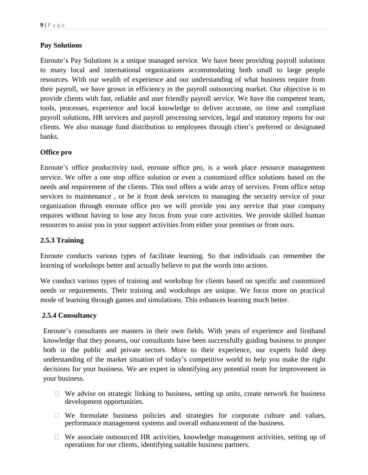#### **Pay Solutions**

Enroute's Pay Solutions is a unique managed service. We have been providing payroll solutions to many local and international organizations accommodating both small to large people resources. With our wealth of experience and our understanding of what business require from their payroll, we have grown in efficiency in the payroll outsourcing market. Our objective is to provide clients with fast, reliable and user friendly payroll service. We have the competent team, tools, processes, experience and local knowledge to deliver accurate, on time and compliant payroll solutions, HR services and payroll processing services, legal and statutory reports for our clients. We also manage fund distribution to employees through clien's preferred or designated banks.

#### **Office pro**

Enroute's office productivity tool, enroute office pro, is a work place resource management service. We offer a one stop office solution or even a customized office solutions based on the needs and requirement of the clients. This tool offers a wide array of services. From office setup services to maintenance , or be it front desk services to managing the security service of your organization through enroute office pro we will provide you any service that your company requires without having to lose any focus from your core activities. We provide skilled human resources to assist you in your support activities from either your premises or from ours.

#### **2.5.3 Training**

Enroute conducts various types of facilitate learning. So that individuals can remember the learning of workshops better and actually believe to put the words into actions.

We conduct various types of training and workshop for clients based on specific and customized needs or requirements. Their training and workshops are unique. We focus more on practical mode of learning through games and simulations. This enhances learning much better.

#### **2.5.4 Consultancy**

Enroute's consultants are masters in their own fields. With years of experience and firsthand knowledge that they possess, our consultants have been successfully guiding business to prosper both in the public and private sectors. More to their experience, our experts hold deep understanding of the market situation of today's competitive world to help you make the right decisions for your business. We are expert in identifying any potential room for improvement in your business.

- $\Box$  We advise on strategic linking to business, setting up units, create network for business development opportunities.
- $\Box$  We formulate business policies and strategies for corporate culture and values, performance management systems and overall enhancement of the business.
- $\Box$  We associate outsourced HR activities, knowledge management activities, setting up of operations for our clients, identifying suitable business partners.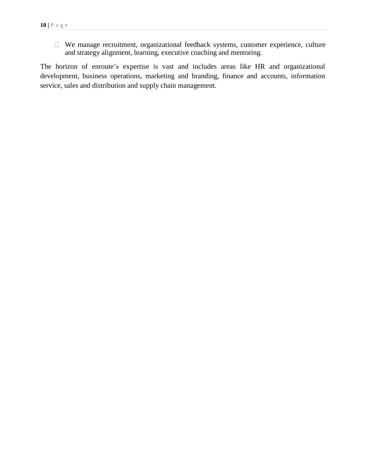We manage recruitment, organizational feedback systems, customer experience, culture and strategy alignment, learning, executive coaching and mentoring.

The horizon of enroute's expertise is vast and includes areas like HR and organizational development, business operations, marketing and branding, finance and accounts, information service, sales and distribution and supply chain management.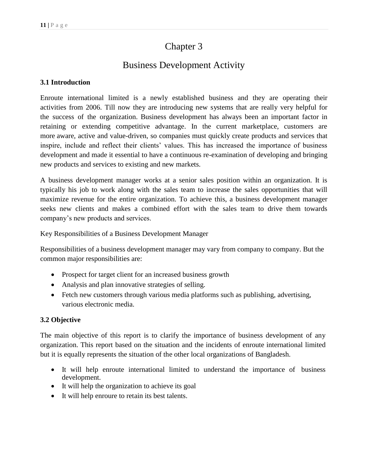# Chapter 3

# Business Development Activity

## **3.1 Introduction**

Enroute international limited is a newly established business and they are operating their activities from 2006. Till now they are introducing new systems that are really very helpful for the success of the organization. Business development has always been an important factor in retaining or extending competitive advantage. In the current marketplace, customers are more aware, active and value-driven, so companies must quickly create products and services that inspire, include and reflect their clients' values. This has increased the importance of business development and made it essential to have a continuous re-examination of developing and bringing new products and services to existing and new markets.

A business development manager works at a senior sales position within an organization. It is typically his job to work along with the sales team to increase the sales opportunities that will maximize revenue for the entire organization. To achieve this, a business development manager seeks new clients and makes a combined effort with the sales team to drive them towards company's new products and services.

Key Responsibilities of a Business Development Manager

Responsibilities of a business development manager may vary from company to company. But the common major responsibilities are:

- Prospect for target client for an increased business growth
- Analysis and plan innovative strategies of selling.
- Fetch new customers through various media platforms such as publishing, advertising, various electronic media.

## **3.2 Objective**

The main objective of this report is to clarify the importance of business development of any organization. This report based on the situation and the incidents of enroute international limited but it is equally represents the situation of the other local organizations of Bangladesh.

- It will help enroute international limited to understand the importance of business development.
- It will help the organization to achieve its goal
- It will help enroure to retain its best talents.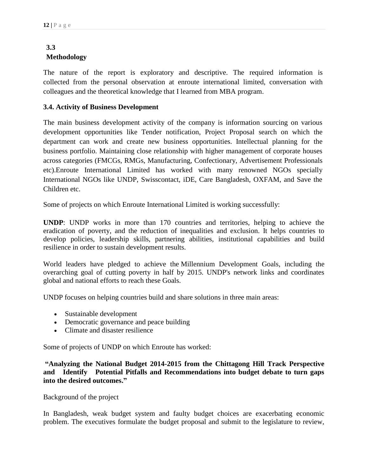## **3.3 Methodology**

The nature of the report is exploratory and descriptive. The required information is collected from the personal observation at enroute international limited, conversation with colleagues and the theoretical knowledge that I learned from MBA program.

#### **3.4. Activity of Business Development**

The main business development activity of the company is information sourcing on various development opportunities like Tender notification, Project Proposal search on which the department can work and create new business opportunities. Intellectual planning for the business portfolio. Maintaining close relationship with higher management of corporate houses across categories (FMCGs, RMGs, Manufacturing, Confectionary, Advertisement Professionals etc).Enroute International Limited has worked with many renowned NGOs specially International NGOs like UNDP, Swisscontact, iDE, Care Bangladesh, OXFAM, and Save the Children etc.

Some of projects on which Enroute International Limited is working successfully:

**UNDP**: UNDP works in more than 170 countries and territories, helping to achieve the eradication of poverty, and the reduction of inequalities and exclusion. It helps countries to develop policies, leadership skills, partnering abilities, institutional capabilities and build resilience in order to sustain development results.

World leaders have pledged to achieve the [Millennium Development Goals,](http://www.undp.org/content/undp/en/home/mdgoverview.html) including the overarching goal of cutting poverty in half by 2015. UNDP's network links and coordinates global and national efforts to reach these Goals.

UNDP focuses on helping countries build and share solutions in three main areas:

- [Sustainable development](http://www.undp.org/content/undp/en/home/ourwork/sustainable-development.html)
- [Democratic governance and peace](http://www.undp.org/content/undp/en/home/ourwork/democratic-governance-and-peacebuilding.html) building
- [Climate and disaster resilience](http://www.undp.org/content/undp/en/home/ourwork/climate-and-disaster-resilience/)

Some of projects of UNDP on which Enroute has worked:

**"Analyzing the National Budget 2014-2015 from the Chittagong Hill Track Perspective and Identify Potential Pitfalls and Recommendations into budget debate to turn gaps into the desired outcomes."** 

Background of the project

In Bangladesh, weak budget system and faulty budget choices are exacerbating economic problem. The executives formulate the budget proposal and submit to the legislature to review,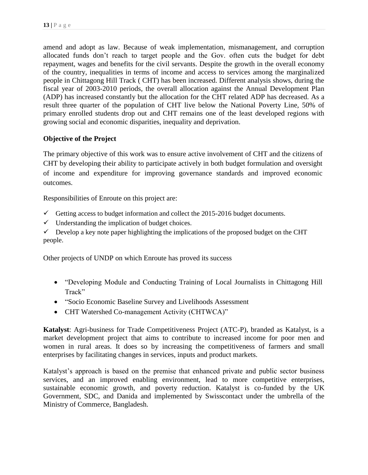amend and adopt as law. Because of weak implementation, mismanagement, and corruption allocated funds don't reach to target people and the Gov. often cuts the budget for debt repayment, wages and benefits for the civil servants. Despite the growth in the overall economy of the country, inequalities in terms of income and access to services among the marginalized people in Chittagong Hill Track ( CHT) has been increased. Different analysis shows, during the fiscal year of 2003-2010 periods, the overall allocation against the Annual Development Plan (ADP) has increased constantly but the allocation for the CHT related ADP has decreased. As a result three quarter of the population of CHT live below the National Poverty Line, 50% of primary enrolled students drop out and CHT remains one of the least developed regions with growing social and economic disparities, inequality and deprivation.

#### **Objective of the Project**

The primary objective of this work was to ensure active involvement of CHT and the citizens of CHT by developing their ability to participate actively in both budget formulation and oversight of income and expenditure for improving governance standards and improved economic outcomes.

Responsibilities of Enroute on this project are:

- Getting access to budget information and collect the  $2015-2016$  budget documents.
- $\checkmark$  Understanding the implication of budget choices.

 $\checkmark$  Develop a key note paper highlighting the implications of the proposed budget on the CHT people.

Other projects of UNDP on which Enroute has proved its success

- "Developing Module and Conducting Training of Local Journalists in Chittagong Hill Track"
- "Socio Economic Baseline Survey and Livelihoods Assessment
- CHT Watershed Co-management Activity (CHTWCA)"

**Katalyst**: Agri-business for Trade Competitiveness Project (ATC-P), branded as Katalyst, is a market development project that aims to contribute to increased income for poor men and women in rural areas. It does so by increasing the competitiveness of farmers and small enterprises by facilitating changes in services, inputs and product markets.

Katalyst's approach is based on the premise that enhanced private and public sector business services, and an improved enabling environment, lead to more competitive enterprises, sustainable economic growth, and poverty reduction. Katalyst is co-funded by the UK Government, SDC, and Danida and implemented by Swisscontact under the umbrella of the Ministry of Commerce, Bangladesh.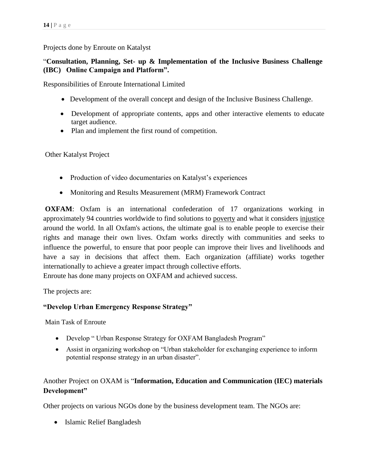#### Projects done by Enroute on Katalyst

### "**Consultation, Planning, Set- up & Implementation of the Inclusive Business Challenge (IBC) Online Campaign and Platform".**

Responsibilities of Enroute International Limited

- Development of the overall concept and design of the Inclusive Business Challenge.
- Development of appropriate contents, apps and other interactive elements to educate target audience.
- Plan and implement the first round of competition.

Other Katalyst Project

- Production of video documentaries on Katalyst's experiences
- Monitoring and Results Measurement (MRM) Framework Contract

**OXFAM**: Oxfam is an international confederation of 17 organizations working in approximately 94 countries worldwide to find solutions to [poverty](http://en.wikipedia.org/wiki/Poverty) and what it considers [injustice](http://en.wikipedia.org/wiki/Injustice) around the world. In all Oxfam's actions, the ultimate goal is to enable people to exercise their rights and manage their own lives. Oxfam works directly with communities and seeks to influence the powerful, to ensure that poor people can improve their lives and livelihoods and have a say in decisions that affect them. Each organization (affiliate) works together internationally to achieve a greater impact through collective efforts.

Enroute has done many projects on OXFAM and achieved success.

The projects are:

#### **"Develop Urban Emergency Response Strategy"**

Main Task of Enroute

- Develop " Urban Response Strategy for OXFAM Bangladesh Program"
- Assist in organizing workshop on "Urban stakeholder for exchanging experience to inform potential response strategy in an urban disaster".

## Another Project on OXAM is "**Information, Education and Communication (IEC) materials Development"**

Other projects on various NGOs done by the business development team. The NGOs are:

• Islamic Relief Bangladesh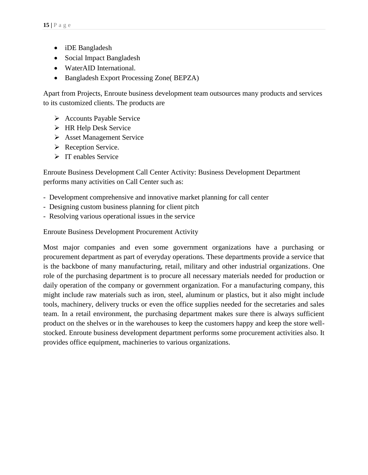- iDE Bangladesh
- Social Impact Bangladesh
- WaterAID International.
- Bangladesh Export Processing Zone( BEPZA)

Apart from Projects, Enroute business development team outsources many products and services to its customized clients. The products are

- $\triangleright$  Accounts Payable Service
- HR Help Desk Service
- **Asset Management Service**
- $\triangleright$  Reception Service.
- $\triangleright$  IT enables Service

Enroute Business Development Call Center Activity: Business Development Department performs many activities on Call Center such as:

- Development comprehensive and innovative market planning for call center
- Designing custom business planning for client pitch
- Resolving various operational issues in the service

Enroute Business Development Procurement Activity

Most major companies and even some government organizations have a purchasing or procurement department as part of everyday operations. These departments provide a service that is the backbone of many manufacturing, retail, military and other industrial organizations. One role of the purchasing department is to procure all necessary materials needed for production or daily operation of the company or government organization. For a manufacturing company, this might include raw materials such as iron, steel, aluminum or plastics, but it also might include tools, machinery, delivery trucks or even the office supplies needed for the secretaries and sales team. In a retail environment, the purchasing department makes sure there is always sufficient product on the shelves or in the warehouses to keep the customers happy and keep the store wellstocked. Enroute business development department performs some procurement activities also. It provides office equipment, machineries to various organizations.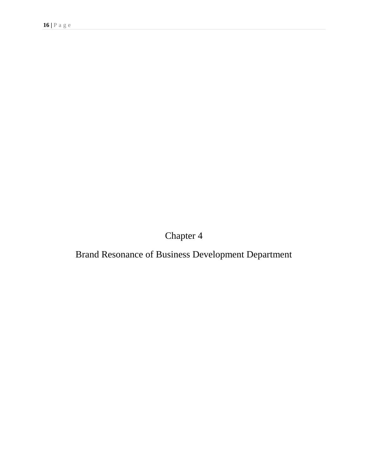Chapter 4

Brand Resonance of Business Development Department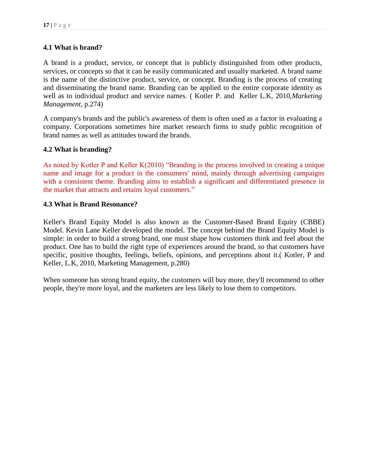#### **4.1 What is brand?**

A brand is a product, service, or concept that is publicly distinguished from other products, services, or concepts so that it can be easily communicated and usually marketed. A brand name is the name of the distinctive product, service, or concept. Branding is the process of creating and disseminating the brand name. Branding can be applied to the entire corporate identity as well as to individual product and service names. ( Kotler P. and Keller L.K, 2010,*Marketing Management*, p.274)

A company's brands and the public's awareness of them is often used as a factor in evaluating a company. Corporations sometimes hire market research firms to study public recognition of brand names as well as attitudes toward the brands.

#### **4.2 What is branding?**

As noted by Kotler P and Keller K(2010) "Branding is the [process](http://www.businessdictionary.com/definition/process.html) involved in creating a unique name and [image](http://www.businessdictionary.com/definition/image.html) for a [product](http://www.businessdictionary.com/definition/product.html) in the [consumers'](http://www.businessdictionary.com/definition/consumer.html) mind, mainly through [advertising campaigns](http://www.businessdictionary.com/definition/advertising-campaign.html) with a [consistent](http://www.businessdictionary.com/definition/consistent.html) theme. Branding [aims](http://www.businessdictionary.com/definition/aim.html) to [establish](http://www.businessdictionary.com/definition/establish.html) a [significant](http://www.businessdictionary.com/definition/significant.html) and differentiated presence in the [market](http://www.businessdictionary.com/definition/market.html) that attracts and retains loyal [customers.](http://www.businessdictionary.com/definition/customer.html)"

#### **4.3 What is Brand Resonance?**

Keller's Brand Equity Model is also known as the Customer-Based Brand Equity (CBBE) Model. Kevin Lane Keller developed the model. The concept behind the Brand Equity Model is simple: in order to build a strong brand, one must shape how customers think and feel about the product. One has to build the right type of experiences around the brand, so that customers have specific, positive thoughts, feelings, beliefs, opinions, and perceptions about it.(Kotler, P and Keller, L.K, 2010, Marketing Management, p.280)

When someone has strong brand equity, the customers will buy more, they'll recommend to other people, they're more loyal, and the marketers are less likely to lose them to competitors.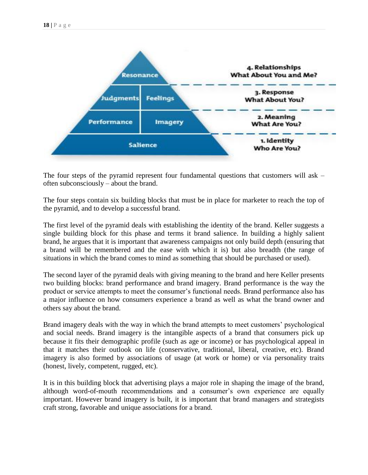

The four steps of the pyramid represent four fundamental questions that customers will ask – often subconsciously – about the brand.

The four steps contain six building blocks that must be in place for marketer to reach the top of the pyramid, and to develop a successful brand.

The first level of the pyramid deals with establishing the identity of the brand. Keller suggests a single building block for this phase and terms it brand salience. In building a highly salient brand, he argues that it is important that awareness campaigns not only build depth (ensuring that a brand will be remembered and the ease with which it is) but also breadth (the range of situations in which the brand comes to mind as something that should be purchased or used).

The second layer of the pyramid deals with giving meaning to the brand and here Keller presents two building blocks: brand performance and brand imagery. Brand performance is the way the product or service attempts to meet the consumer's functional needs. Brand performance also has a major influence on how consumers experience a brand as well as what the brand owner and others say about the brand.

Brand imagery deals with the way in which the brand attempts to meet customers' psychological and social needs. Brand imagery is the intangible aspects of a brand that consumers pick up because it fits their demographic profile (such as age or income) or has psychological appeal in that it matches their outlook on life (conservative, traditional, liberal, creative, etc). Brand imagery is also formed by associations of usage (at work or home) or via personality traits (honest, lively, competent, rugged, etc).

It is in this building block that advertising plays a major role in shaping the image of the brand, although word-of-mouth recommendations and a consumer's own experience are equally important. However brand imagery is built, it is important that brand managers and strategists craft strong, favorable and unique associations for a brand.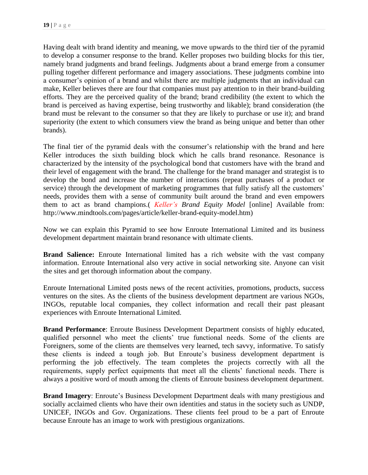Having dealt with brand identity and meaning, we move upwards to the third tier of the pyramid to develop a consumer response to the brand. Keller proposes two building blocks for this tier, namely brand judgments and brand feelings. Judgments about a brand emerge from a consumer pulling together different performance and imagery associations. These judgments combine into a consumer's opinion of a brand and whilst there are multiple judgments that an individual can make, Keller believes there are four that companies must pay attention to in their brand-building efforts. They are the perceived quality of the brand; brand credibility (the extent to which the brand is perceived as having expertise, being trustworthy and likable); brand consideration (the brand must be relevant to the consumer so that they are likely to purchase or use it); and brand superiority (the extent to which consumers view the brand as being unique and better than other brands).

The final tier of the pyramid deals with the consumer's relationship with the brand and here Keller introduces the sixth building block which he calls brand resonance. Resonance is characterized by the intensity of the psychological bond that customers have with the brand and their level of engagement with the brand. The challenge for the brand manager and strategist is to develop the bond and increase the number of interactions (repeat purchases of a product or service) through the development of marketing programmes that fully satisfy all the customers' needs, provides them with a sense of community built around the brand and even empowers them to act as brand champions.( *[Keller's](http://www.mindtools.com/pages/article/keller-brand-equity-model.htm,2012,%20Keller) Brand Equity Model* [online] Available from: http://www.mindtools.com/pages/article/keller-brand-equity-model.htm)

Now we can explain this Pyramid to see how Enroute International Limited and its business development department maintain brand resonance with ultimate clients.

**Brand Salience:** Enroute International limited has a rich website with the vast company information. Enroute International also very active in social networking site. Anyone can visit the sites and get thorough information about the company.

Enroute International Limited posts news of the recent activities, promotions, products, success ventures on the sites. As the clients of the business development department are various NGOs, INGOs, reputable local companies, they collect information and recall their past pleasant experiences with Enroute International Limited.

**Brand Performance**: Enroute Business Development Department consists of highly educated, qualified personnel who meet the clients' true functional needs. Some of the clients are Foreigners, some of the clients are themselves very learned, tech savvy, informative. To satisfy these clients is indeed a tough job. But Enroute's business development department is performing the job effectively. The team completes the projects correctly with all the requirements, supply perfect equipments that meet all the clients' functional needs. There is always a positive word of mouth among the clients of Enroute business development department.

**Brand Imagery**: Enroute's Business Development Department deals with many prestigious and socially acclaimed clients who have their own identities and status in the society such as UNDP, UNICEF, INGOs and Gov. Organizations. These clients feel proud to be a part of Enroute because Enroute has an image to work with prestigious organizations.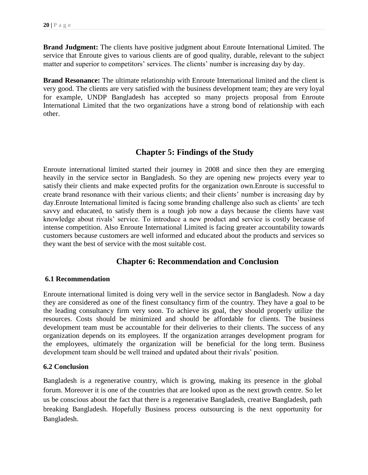**Brand Judgment:** The clients have positive judgment about Enroute International Limited. The service that Enroute gives to various clients are of good quality, durable, relevant to the subject matter and superior to competitors' services. The clients' number is increasing day by day.

**Brand Resonance:** The ultimate relationship with Enroute International limited and the client is very good. The clients are very satisfied with the business development team; they are very loyal for example, UNDP Bangladesh has accepted so many projects proposal from Enroute International Limited that the two organizations have a strong bond of relationship with each other.

## **Chapter 5: Findings of the Study**

Enroute international limited started their journey in 2008 and since then they are emerging heavily in the service sector in Bangladesh. So they are opening new projects every year to satisfy their clients and make expected profits for the organization own.Enroute is successful to create brand resonance with their various clients; and their clients' number is increasing day by day.Enroute International limited is facing some branding challenge also such as clients' are tech savvy and educated, to satisfy them is a tough job now a days because the clients have vast knowledge about rivals' service. To introduce a new product and service is costly because of intense competition. Also Enroute International Limited is facing greater accountability towards customers because customers are well informed and educated about the products and services so they want the best of service with the most suitable cost.

## **Chapter 6: Recommendation and Conclusion**

#### **6.1 Recommendation**

Enroute international limited is doing very well in the service sector in Bangladesh. Now a day they are considered as one of the finest consultancy firm of the country. They have a goal to be the leading consultancy firm very soon. To achieve its goal, they should properly utilize the resources. Costs should be minimized and should be affordable for clients. The business development team must be accountable for their deliveries to their clients. The success of any organization depends on its employees. If the organization arranges development program for the employees, ultimately the organization will be beneficial for the long term. Business development team should be well trained and updated about their rivals' position.

#### **6.2 Conclusion**

Bangladesh is a regenerative country, which is growing, making its presence in the global forum. Moreover it is one of the countries that are looked upon as the next growth centre. So let us be conscious about the fact that there is a regenerative Bangladesh, creative Bangladesh, path breaking Bangladesh. Hopefully Business process outsourcing is the next opportunity for Bangladesh.